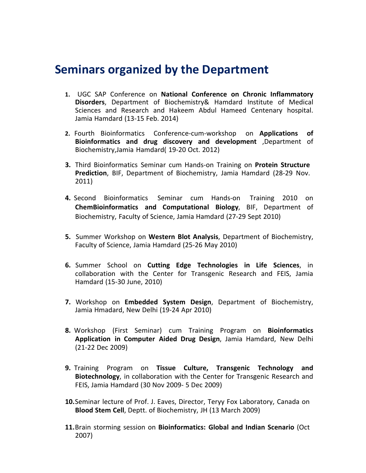## **Seminars organized by the Department**

- **1.** UGC SAP Conference on **National Conference on Chronic Inflammatory Disorders**, Department of Biochemistry& Hamdard Institute of Medical Sciences and Research and Hakeem Abdul Hameed Centenary hospital. Jamia Hamdard (13-15 Feb. 2014)
- **2.** Fourth Bioinformatics Conference-cum-workshop on **Applications of Bioinformatics and drug discovery and development** ,Department of Biochemistry,Jamia Hamdard( 19-20 Oct. 2012)
- **3.** Third Bioinformatics Seminar cum Hands-on Training on **Protein Structure Prediction**, BIF, Department of Biochemistry, Jamia Hamdard (28-29 Nov. 2011)
- **4.** Second Bioinformatics Seminar cum Hands-on Training 2010 on **ChemBioinformatics and Computational Biology**, BIF, Department of Biochemistry, Faculty of Science, Jamia Hamdard (27-29 Sept 2010)
- **5.** Summer Workshop on **Western Blot Analysis**, Department of Biochemistry, Faculty of Science, Jamia Hamdard (25-26 May 2010)
- **6.** Summer School on **Cutting Edge Technologies in Life Sciences**, in collaboration with the Center for Transgenic Research and FEIS, Jamia Hamdard (15-30 June, 2010)
- **7.** Workshop on **Embedded System Design**, Department of Biochemistry, Jamia Hmadard, New Delhi (19-24 Apr 2010)
- **8.** Workshop (First Seminar) cum Training Program on **Bioinformatics Application in Computer Aided Drug Design**, Jamia Hamdard, New Delhi (21-22 Dec 2009)
- **9.** Training Program on **Tissue Culture, Transgenic Technology and Biotechnology**, in collaboration with the Center for Transgenic Research and FEIS, Jamia Hamdard (30 Nov 2009- 5 Dec 2009)
- **10.**Seminar lecture of Prof. J. Eaves, Director, Teryy Fox Laboratory, Canada on **Blood Stem Cell**, Deptt. of Biochemistry, JH (13 March 2009)
- **11.**Brain storming session on **Bioinformatics: Global and Indian Scenario** (Oct 2007)